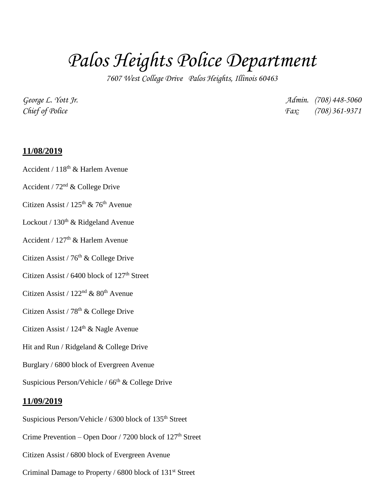## *Palos Heights Police Department*

*7607 West College Drive Palos Heights, Illinois 60463*

*George L. Yott Jr. Admin. (708) 448-5060 Chief of Police Fax: (708) 361-9371*

## **11/08/2019**

- Accident / 118th & Harlem Avenue
- Accident /  $72<sup>nd</sup>$  & College Drive
- Citizen Assist /  $125<sup>th</sup>$  & 76<sup>th</sup> Avenue
- Lockout /  $130<sup>th</sup>$  & Ridgeland Avenue
- Accident /  $127<sup>th</sup>$  & Harlem Avenue
- Citizen Assist / 76<sup>th</sup> & College Drive
- Citizen Assist /  $6400$  block of  $127<sup>th</sup>$  Street
- Citizen Assist /  $122<sup>nd</sup>$  &  $80<sup>th</sup>$  Avenue
- Citizen Assist /  $78<sup>th</sup>$  & College Drive
- Citizen Assist /  $124<sup>th</sup>$  & Nagle Avenue
- Hit and Run / Ridgeland & College Drive
- Burglary / 6800 block of Evergreen Avenue
- Suspicious Person/Vehicle /  $66<sup>th</sup>$  & College Drive

## **11/09/2019**

Suspicious Person/Vehicle / 6300 block of 135<sup>th</sup> Street Crime Prevention – Open Door / 7200 block of  $127<sup>th</sup>$  Street Citizen Assist / 6800 block of Evergreen Avenue Criminal Damage to Property / 6800 block of 131<sup>st</sup> Street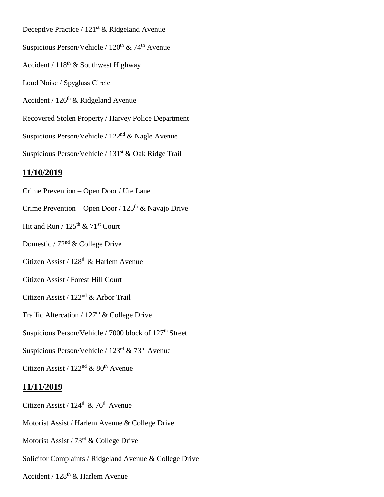Deceptive Practice / 121<sup>st</sup> & Ridgeland Avenue Suspicious Person/Vehicle /  $120^{th}$  &  $74^{th}$  Avenue Accident /  $118^{th}$  & Southwest Highway Loud Noise / Spyglass Circle Accident /  $126<sup>th</sup>$  & Ridgeland Avenue Recovered Stolen Property / Harvey Police Department Suspicious Person/Vehicle / 122nd & Nagle Avenue Suspicious Person/Vehicle / 131<sup>st</sup> & Oak Ridge Trail **11/10/2019** Crime Prevention – Open Door / Ute Lane Crime Prevention – Open Door /  $125<sup>th</sup>$  & Navajo Drive Hit and Run /  $125^{\text{th}}$  &  $71^{\text{st}}$  Court Domestic / 72nd & College Drive Citizen Assist / 128<sup>th</sup> & Harlem Avenue

Citizen Assist / Forest Hill Court

Citizen Assist / 122nd & Arbor Trail

Traffic Altercation /  $127<sup>th</sup>$  & College Drive

Suspicious Person/Vehicle / 7000 block of 127<sup>th</sup> Street

Suspicious Person/Vehicle / 123rd & 73rd Avenue

Citizen Assist /  $122<sup>nd</sup>$  &  $80<sup>th</sup>$  Avenue

## **11/11/2019**

Citizen Assist /  $124<sup>th</sup>$  & 76<sup>th</sup> Avenue Motorist Assist / Harlem Avenue & College Drive Motorist Assist / 73rd & College Drive Solicitor Complaints / Ridgeland Avenue & College Drive Accident /  $128<sup>th</sup>$  & Harlem Avenue